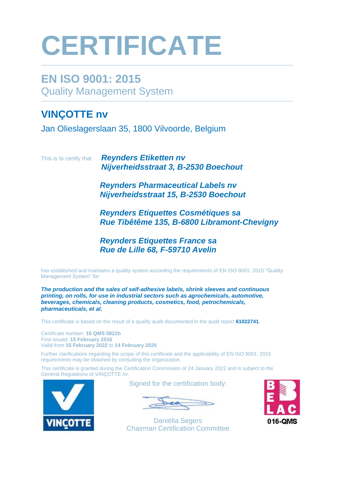# **CERTIFICATE**

### **EN ISO 9001: 2015** Quality Management System

### **VINÇOTTE nv**

Jan Olieslagerslaan 35, 1800 Vilvoorde, Belgium

This is to certify that *Reynders Etiketten nv Nijverheidsstraat 3, B-2530 Boechout* 

> *Reynders Pharmaceutical Labels nv Nijverheidsstraat 15, B-2530 Boechout*

*Reynders Etiquettes Cosmétiques sa Rue Tibêtême 135, B-6800 Libramont-Chevigny* 

*Reynders Etiquettes France sa Rue de Lille 68, F-59710 Avelin*

has established and maintains a quality system according the requirements of EN ISO 9001: 2015 "Quality Management System" for:

*The production and the sales of self-adhesive labels, shrink sleeves and continuous printing, on rolls, for use in industrial sectors such as agrochemicals, automotive, beverages, chemicals, cleaning products, cosmetics, food, petrochemicals, pharmaceuticals, et al.* 

This certificate is based on the result of a quality audit documented in the audit report **61022741**.

Certificate number: **16 QMS 5822b** First issued: **15 February 2016** Valid from **15 February 2022** to **14 February 2025**

Further clarifications regarding the scope of this certificate and the applicability of EN ISO 9001: 2015 requirements may be obtained by consulting the organization.

This certificate is granted during the Certification Commission of 24 January 2022 and is subject to the General Regulations of VINÇOTTE nv.



Signed for the certification body:



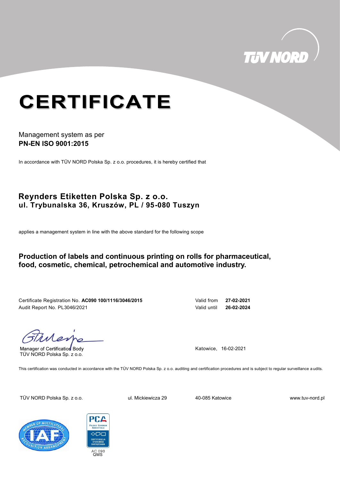

## **CERTIFICATE**

#### Management system as per **PN-EN ISO 9001:2015**

In accordance with TÜV NORD Polska Sp. z o.o. procedures, it is hereby certified that

#### **Reynders Etiketten Polska Sp. z o.o. ul. Trybunalska 36, Kruszów, PL / 95-080 Tuszyn**

applies a management system in line with the above standard for the following scope

#### **Production of labels and continuous printing on rolls for pharmaceutical, food, cosmetic, chemical, petrochemical and automotive industry.**

Certificate Registration No. **AC090 100/1116/3046/2015** Valid from **27-02-2021** Audit Report No. PL3046/2021 Valid until **26-02-2024**

Manager of Certification Body TÜV NORD Polska Sp. z o.o.

Katowice, 16-02-2021

This certification was conducted in accordance with the TÜV NORD Polska Sp. z o.o. auditing and certification procedures and is subject to regular surveillance a udits.

TÜV NORD Polska Sp. z o.o. ul. Mickiewicza 29 40-085 Katowice www.tuv-nord.pl



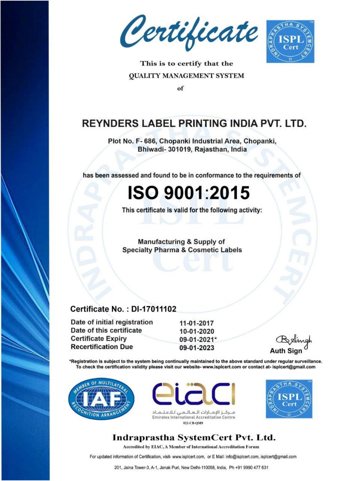Certificate



This is to certify that the **QUALITY MANAGEMENT SYSTEM** 

of

### **REYNDERS LABEL PRINTING INDIA PVT. LTD.**

Plot No. F- 686, Chopanki Industrial Area, Chopanki, Bhiwadi- 301019, Rajasthan, India

has been assessed and found to be in conformance to the requirements of

## **ISO 9001:2015**

This certificate is valid for the following activity:

**Manufacturing & Supply of Specialty Pharma & Cosmetic Labels** 

#### **Certificate No.: DI-17011102**

Date of initial registration 11-01-2017 Date of this certificate 10-01-2020 **Certificate Expiry** 09-01-2021\* **Recertification Due** 09-01-2023

\*Registration is subject to the system being continually maintained to the above standard under regular surveillance. To check the certification validity please visit our website- www.isplcert.com or contact at-isplcert@gmail.com







#### Indraprastha SystemCert Pvt. Ltd.

Accredited by EIAC, A Member of International Accreditation Forum

For updated information of Certification, visit- www.isplcert.com, or E Mail: info@isplcert.com, isplcert@gmail.com

201, Jaina Tower-3, A-1, Janak Puri, New Delhi-110058, India, Ph +91 9990 477 631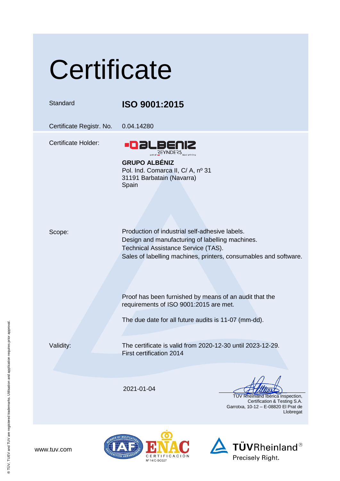# **Certificate**

#### Standard **ISO 9001:2015**

Certificate Registr. No. 0.04.14280

Certificate Holder:



**GRUPO ALBÉNIZ** Pol. Ind. Comarca II, C/ A, nº 31 31191 Barbatain (Navarra) Spain

Scope: Production of industrial self-adhesive labels. Design and manufacturing of labelling machines. Technical Assistance Service (TAS). Sales of labelling machines, printers, consumables and software.

> Proof has been furnished by means of an audit that the requirements of ISO 9001:2015 are met.

The due date for all future audits is 11-07 (mm-dd).

Validity: The certificate is valid from 2020-12-30 until 2023-12-29. First certification 2014

2021-01-04

 TÜV Rheinland Ibérica Inspection, Certification & Testing S.A. Garrotxa, 10-12 – E-08820 El Prat de Llobregat